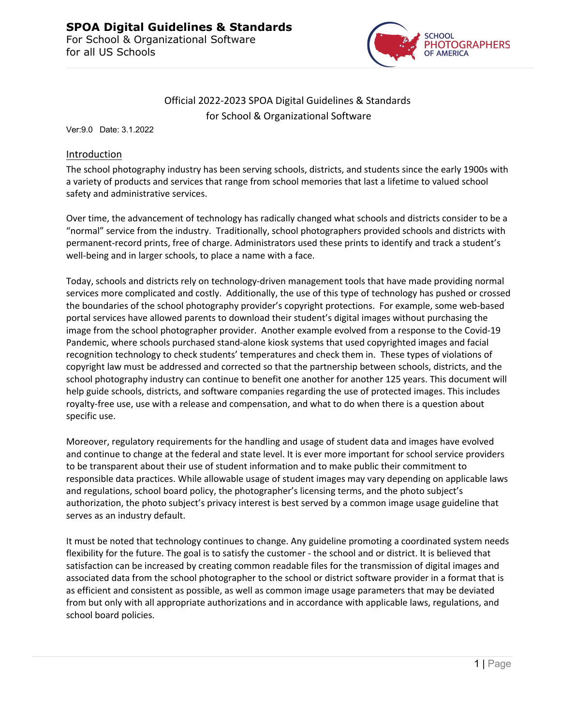

# Official 2022-2023 SPOA Digital Guidelines & Standards for School & Organizational Software

Ver:9.0 Date: 3.1.2022

### Introduction

The school photography industry has been serving schools, districts, and students since the early 1900s with a variety of products and services that range from school memories that last a lifetime to valued school safety and administrative services.

Over time, the advancement of technology has radically changed what schools and districts consider to be a "normal" service from the industry. Traditionally, school photographers provided schools and districts with permanent-record prints, free of charge. Administrators used these prints to identify and track a student's well-being and in larger schools, to place a name with a face.

Today, schools and districts rely on technology-driven management tools that have made providing normal services more complicated and costly. Additionally, the use of this type of technology has pushed or crossed the boundaries of the school photography provider's copyright protections. For example, some web-based portal services have allowed parents to download their student's digital images without purchasing the image from the school photographer provider. Another example evolved from a response to the Covid-19 Pandemic, where schools purchased stand-alone kiosk systems that used copyrighted images and facial recognition technology to check students' temperatures and check them in. These types of violations of copyright law must be addressed and corrected so that the partnership between schools, districts, and the school photography industry can continue to benefit one another for another 125 years. This document will help guide schools, districts, and software companies regarding the use of protected images. This includes royalty-free use, use with a release and compensation, and what to do when there is a question about specific use.

Moreover, regulatory requirements for the handling and usage of student data and images have evolved and continue to change at the federal and state level. It is ever more important for school service providers to be transparent about their use of student information and to make public their commitment to responsible data practices. While allowable usage of student images may vary depending on applicable laws and regulations, school board policy, the photographer's licensing terms, and the photo subject's authorization, the photo subject's privacy interest is best served by a common image usage guideline that serves as an industry default.

It must be noted that technology continues to change. Any guideline promoting a coordinated system needs flexibility for the future. The goal is to satisfy the customer - the school and or district. It is believed that satisfaction can be increased by creating common readable files for the transmission of digital images and associated data from the school photographer to the school or district software provider in a format that is as efficient and consistent as possible, as well as common image usage parameters that may be deviated from but only with all appropriate authorizations and in accordance with applicable laws, regulations, and school board policies.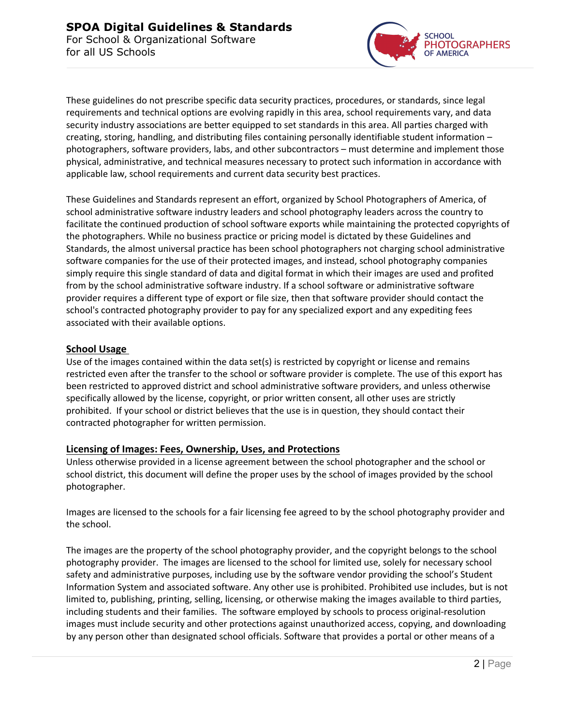

These guidelines do not prescribe specific data security practices, procedures, or standards, since legal requirements and technical options are evolving rapidly in this area, school requirements vary, and data security industry associations are better equipped to set standards in this area. All parties charged with creating, storing, handling, and distributing files containing personally identifiable student information – photographers, software providers, labs, and other subcontractors – must determine and implement those physical, administrative, and technical measures necessary to protect such information in accordance with applicable law, school requirements and current data security best practices.

These Guidelines and Standards represent an effort, organized by School Photographers of America, of school administrative software industry leaders and school photography leaders across the country to facilitate the continued production of school software exports while maintaining the protected copyrights of the photographers. While no business practice or pricing model is dictated by these Guidelines and Standards, the almost universal practice has been school photographers not charging school administrative software companies for the use of their protected images, and instead, school photography companies simply require this single standard of data and digital format in which their images are used and profited from by the school administrative software industry. If a school software or administrative software provider requires a different type of export or file size, then that software provider should contact the school's contracted photography provider to pay for any specialized export and any expediting fees associated with their available options.

# **School Usage**

Use of the images contained within the data set(s) is restricted by copyright or license and remains restricted even after the transfer to the school or software provider is complete. The use of this export has been restricted to approved district and school administrative software providers, and unless otherwise specifically allowed by the license, copyright, or prior written consent, all other uses are strictly prohibited. If your school or district believes that the use is in question, they should contact their contracted photographer for written permission.

# **Licensing of Images: Fees, Ownership, Uses, and Protections**

Unless otherwise provided in a license agreement between the school photographer and the school or school district, this document will define the proper uses by the school of images provided by the school photographer.

Images are licensed to the schools for a fair licensing fee agreed to by the school photography provider and the school.

The images are the property of the school photography provider, and the copyright belongs to the school photography provider. The images are licensed to the school for limited use, solely for necessary school safety and administrative purposes, including use by the software vendor providing the school's Student Information System and associated software. Any other use is prohibited. Prohibited use includes, but is not limited to, publishing, printing, selling, licensing, or otherwise making the images available to third parties, including students and their families. The software employed by schools to process original-resolution images must include security and other protections against unauthorized access, copying, and downloading by any person other than designated school officials. Software that provides a portal or other means of a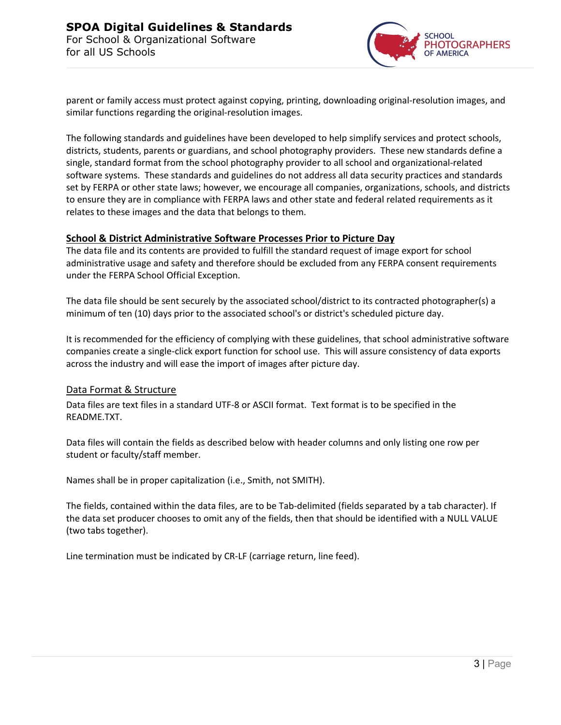

parent or family access must protect against copying, printing, downloading original-resolution images, and similar functions regarding the original-resolution images.

The following standards and guidelines have been developed to help simplify services and protect schools, districts, students, parents or guardians, and school photography providers. These new standards define a single, standard format from the school photography provider to all school and organizational-related software systems. These standards and guidelines do not address all data security practices and standards set by FERPA or other state laws; however, we encourage all companies, organizations, schools, and districts to ensure they are in compliance with FERPA laws and other state and federal related requirements as it relates to these images and the data that belongs to them.

### **School & District Administrative Software Processes Prior to Picture Day**

The data file and its contents are provided to fulfill the standard request of image export for school administrative usage and safety and therefore should be excluded from any FERPA consent requirements under the FERPA School Official Exception.

The data file should be sent securely by the associated school/district to its contracted photographer(s) a minimum of ten (10) days prior to the associated school's or district's scheduled picture day.

It is recommended for the efficiency of complying with these guidelines, that school administrative software companies create a single-click export function for school use. This will assure consistency of data exports across the industry and will ease the import of images after picture day.

### Data Format & Structure

Data files are text files in a standard UTF-8 or ASCII format. Text format is to be specified in the README.TXT.

Data files will contain the fields as described below with header columns and only listing one row per student or faculty/staff member.

Names shall be in proper capitalization (i.e., Smith, not SMITH).

The fields, contained within the data files, are to be Tab-delimited (fields separated by a tab character). If the data set producer chooses to omit any of the fields, then that should be identified with a NULL VALUE (two tabs together).

Line termination must be indicated by CR-LF (carriage return, line feed).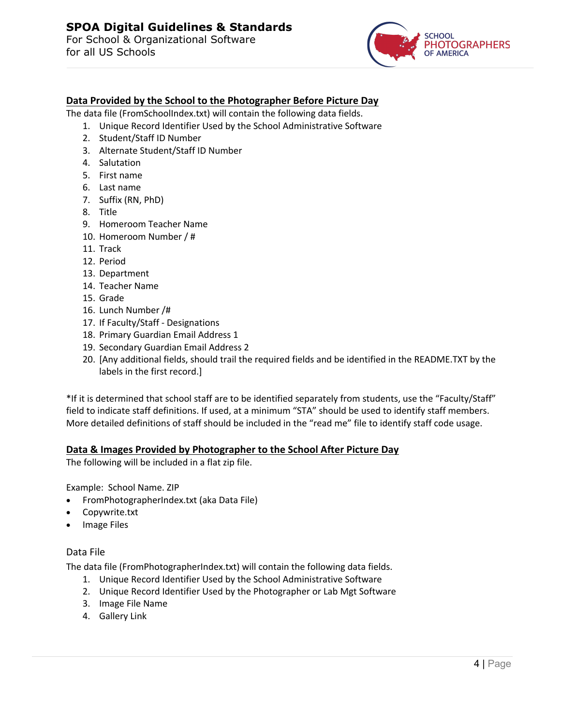

# **Data Provided by the School to the Photographer Before Picture Day**

The data file (FromSchoolIndex.txt) will contain the following data fields.

- 1. Unique Record Identifier Used by the School Administrative Software
- 2. Student/Staff ID Number
- 3. Alternate Student/Staff ID Number
- 4. Salutation
- 5. First name
- 6. Last name
- 7. Suffix (RN, PhD)
- 8. Title
- 9. Homeroom Teacher Name
- 10. Homeroom Number / #
- 11. Track
- 12. Period
- 13. Department
- 14. Teacher Name
- 15. Grade
- 16. Lunch Number /#
- 17. If Faculty/Staff Designations
- 18. Primary Guardian Email Address 1
- 19. Secondary Guardian Email Address 2
- 20. [Any additional fields, should trail the required fields and be identified in the README.TXT by the labels in the first record.]

\*If it is determined that school staff are to be identified separately from students, use the "Faculty/Staff" field to indicate staff definitions. If used, at a minimum "STA" should be used to identify staff members. More detailed definitions of staff should be included in the "read me" file to identify staff code usage.

### **Data & Images Provided by Photographer to the School After Picture Day**

The following will be included in a flat zip file.

Example: School Name. ZIP

- FromPhotographerIndex.txt (aka Data File)
- Copywrite.txt
- Image Files

### Data File

The data file (FromPhotographerIndex.txt) will contain the following data fields.

- 1. Unique Record Identifier Used by the School Administrative Software
- 2. Unique Record Identifier Used by the Photographer or Lab Mgt Software
- 3. Image File Name
- 4. Gallery Link